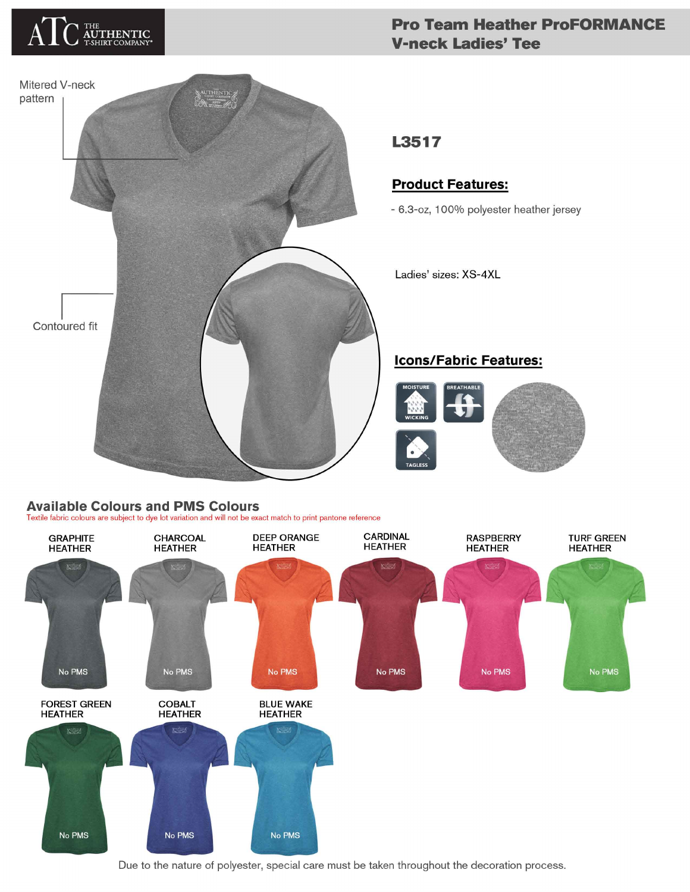

### **Pro Team Heather ProFORMANCE V-neck Ladies' Tee**



## **Available Colours and PMS Colours**

Textile fabric colours are subject to dye lot variation and will not be exact match to print pantone reference



Due to the nature of polyester, special care must be taken throughout the decoration process.